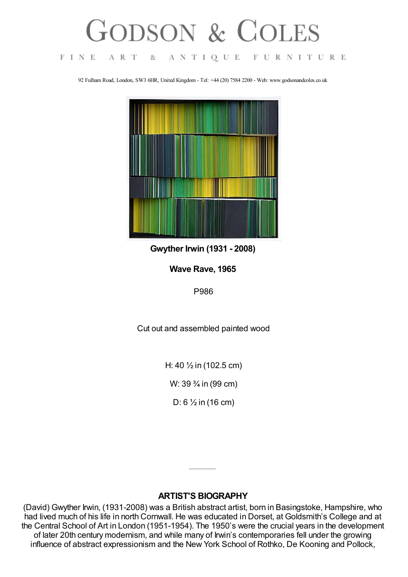## FODSON & COLES

 $F I N E$ 

A R T

83

ANTIQUE FURNITURE

92 Fulham Road, London, SW3 6HR, United Kingdom - Tel: +44 (20) 7584 2200 - Web: www.godsonandcoles.co.uk



**Gwyther Irwin (1931 - 2008)**

**Wave Rave, 1965**

P986

Cut out and assembled painted wood

H: 40 ½ in (102.5 cm)

W: 39 ¾ in (99 cm)

D: 6 ½ in (16 cm)

## **ARTIST'S BIOGRAPHY**

(David) Gwyther Irwin, (1931-2008) was a British abstract artist, born in Basingstoke, Hampshire, who had lived much of his life in north Cornwall. He was educated in Dorset, at Goldsmith's College and at the Central School of Art in London (1951-1954). The 1950's were the crucial years in the development of later 20th century modernism, and while many of Irwin's contemporaries fell under the growing influence of abstract expressionism and the New York School of Rothko, De Kooning and Pollock,